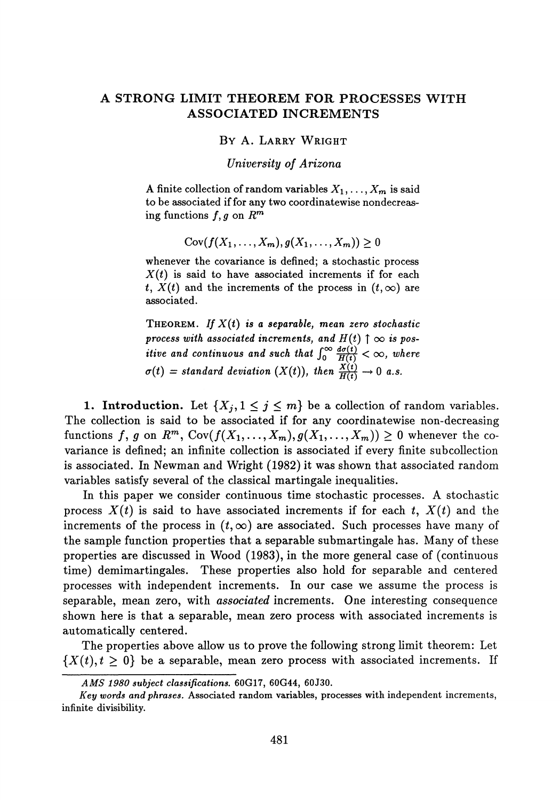## **A STRONG LIMIT THEOREM FOR PROCESSES WITH ASSOCIATED INCREMENTS**

## BY A. LARRY WRIGHT

*University of Arizona*

A finite collection of random variables  $X_1, \ldots, X_m$  is said to be associated if for any two coordinatewise nondecreas ing functions /, *g* on *R<sup>m</sup>*

 $Cov(f(X_1,...,X_m), g(X_1,...,X_m)) > 0$ 

whenever the covariance is defined; a stochastic process *X(t)* is said to have associated increments if for each *t*,  $X(t)$  and the increments of the process in  $(t, \infty)$  are associated.

THEOREM. *If X(t) is a separable, mean zero stochastic* process with associated increments, and  $H(t) \uparrow \infty$  is pos*itive and continuous and such that*  $\int_0^\infty \frac{a\delta(t)}{H(t)} < \infty$ , where  $\sigma(t) = standard \ deviation \ (X(t)), \ then \ \frac{X(t)}{H(t)} \to 0 \ a.s.$ 

**1. Introduction.** Let  $\{X_j, 1 \leq j \leq m\}$  be a collection of random variables. The collection is said to be associated if for any coordinatewise non-decreasing functions  $f, g$  on  $R^m$ ,  $Cov(f(X_1, ..., X_m), g(X_1, ..., X_m)) \geq 0$  whenever the co variance is defined; an infinite collection is associated if every finite subcollection is associated. In Newman and Wright (1982) it was shown that associated random variables satisfy several of the classical martingale inequalities.

In this paper we consider continuous time stochastic processes. A stochastic process  $X(t)$  is said to have associated increments if for each t,  $X(t)$  and the increments of the process in  $(t, \infty)$  are associated. Such processes have many of the sample function properties that a separable submartingale has. Many of these properties are discussed in Wood (1983), in the more general case of (continuous time) demimartingales. These properties also hold for separable and centered processes with independent increments. In our case we assume the process is separable, mean zero, with *associated* increments. One interesting consequence shown here is that a separable, mean zero process with associated increments is automatically centered.

The properties above allow us to prove the following strong limit theorem: Let  ${X(t), t \geq 0}$  be a separable, mean zero process with associated increments. If

*AMS 1980 subject classifications.* **60G17, 60G44, 60J30.**

*Key words and phrases.* Associated random variables, processes with independent increments, infinite divisibility.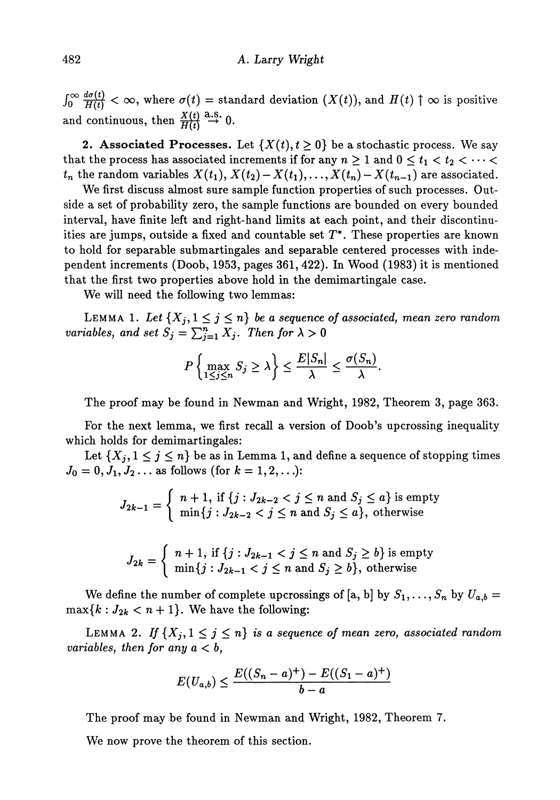$f_0 \infty$   $\frac{d\sigma(t)}{H(t)} < \infty$ , where  $\sigma(t)$  = standard deviation  $(X(t))$ , and  $H(t)$   $\uparrow \infty$  is positive and continuous, then  $\frac{X(t)}{H(t)} \stackrel{\text{a.s.}}{\rightarrow} 0$ .

**2. Associated Processes.** Let  $\{X(t), t \geq 0\}$  be a stochastic process. We say that the process has associated increments if for any  $n \geq 1$  and  $0 \leq t_1 < t_2 < \cdots < t_n$  $t_n$  the random variables  $X(t_1)$ ,  $X(t_2) - X(t_1)$ ,  $\ldots$ ,  $X(t_n) - X(t_{n-1})$  are associated.

We first discuss almost sure sample function properties of such processes. Out side a set of probability zero, the sample functions are bounded on every bounded interval, have finite left and right-hand limits at each point, and their discontinu ities are jumps, outside a fixed and countable set  $T^*$ . These properties are known to hold for separable submartingales and separable centered processes with inde pendent increments (Doob, 1953, pages 361, 422). In Wood (1983) it is mentioned that the first two properties above hold in the demimartingale case.

We will need the following two lemmas:

LEMMA 1. Let  $\{X_j, 1 \leq j \leq n\}$  be a sequence of associated, mean zero random *variables, and set*  $S_j = \sum_{j=1}^n X_j$ . Then for  $\lambda > 0$ 

$$
P\left\{\max_{1\leq j\leq n}S_j\geq \lambda\right\}\leq \frac{E|S_n|}{\lambda}\leq \frac{\sigma(S_n)}{\lambda}.
$$

The proof may be found in Newman and Wright, 1982, Theorem 3, page 363.

For the next lemma, we first recall a version of Doob's upcrossing inequality which holds for demimartingales:

Let  $\{X_j, 1 \leq j \leq n\}$  be as in Lemma 1, and define a sequence of stopping times  $J_0 = 0, J_1, J_2 \dots$  as follows (for  $k = 1, 2, \dots$ ):

$$
J_{2k-1} = \begin{cases} n+1, \text{ if } \{j: J_{2k-2} < j \le n \text{ and } S_j \le a\} \text{ is empty} \\ \min\{j: J_{2k-2} < j \le n \text{ and } S_j \le a\}, \text{ otherwise} \end{cases}
$$

$$
J_{2k} = \begin{cases} n+1, \text{ if } \{j: J_{2k-1} < j \le n \text{ and } S_j \ge b\} \text{ is empty} \\ \min\{j: J_{2k-1} < j \le n \text{ and } S_j \ge b\}, \text{ otherwise} \end{cases}
$$

We define the number of complete upcrossings of [a, b] by  $S_1, \ldots, S_n$  by  $U_{a,b} =$  $\max\{k:J_{2k} < n+1\}$ . We have the following:

LEMMA 2. If  $\{X_j, 1 \leq j \leq n\}$  is a sequence of mean zero, associated random *variables, then for any a < b,*

$$
E(U_{a,b}) \le \frac{E((S_n - a)^+) - E((S_1 - a)^+)}{b - a}
$$

The proof may be found in Newman and Wright, 1982, Theorem 7.

We now prove the theorem of this section.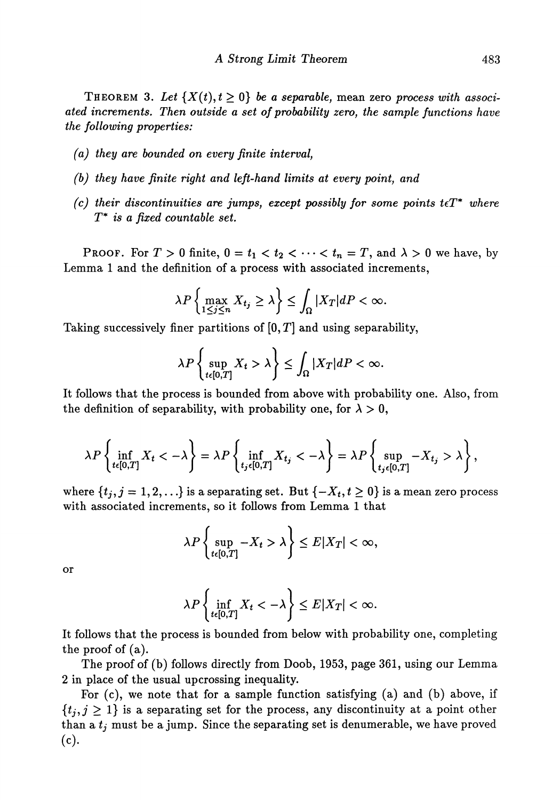THEOREM 3. Let  $\{X(t), t \geq 0\}$  be a separable, mean zero process with associ*ated increments. Then outside a set of probability zero, the sample functions have the following properties:*

- *(a) they are bounded on every finite interval,*
- *(b) they have finite right and left-hand limits at every point, and*
- $(c)$  their discontinuities are jumps, except possibly for some points  $t \in T^*$  where *T\* is a fixed countable set.*

PROOF. For  $T > 0$  finite,  $0 = t_1 < t_2 < \cdots < t_n = T$ , and  $\lambda > 0$  we have, by Lemma 1 and the definition of a process with associated increments,

$$
\lambda P\left\{\max_{1\leq j\leq n}X_{t_j}\geq\lambda\right\}\leq\int_{\Omega}|X_T|dP<\infty.
$$

Taking successively finer partitions of  $[0, T]$  and using separability,

$$
\lambda P\left\{\sup_{t\in[0,T]}X_t>\lambda\right\}\leq \int_{\Omega}|X_T|dP<\infty.
$$

It follows that the process is bounded from above with probability one. Also, from the definition of separability, with probability one, for  $\lambda > 0$ ,

$$
\lambda P\left\{\inf_{t\in[0,T]}X_t<-\lambda\right\}=\lambda P\left\{\inf_{t_j\in[0,T]}X_{t_j}<-\lambda\right\}=\lambda P\left\{\sup_{t_j\in[0,T]}-X_{t_j}>\lambda\right\},\,
$$

where  $\{t_i, j = 1, 2, ...\}$  is a separating set. But  $\{-X_t, t \geq 0\}$  is a mean zero process with associated increments, so it follows from Lemma 1 that

$$
\lambda P\left\{\sup_{t\in[0,T]} -X_t > \lambda\right\} \le E|X_T| < \infty,
$$

or

$$
\lambda P\left\{\inf_{t\in[0,T]}X_t<-\lambda\right\}\leq E|X_T|<\infty.
$$

It follows that the process is bounded from below with probability one, completing the proof of (a).

The proof of (b) follows directly from Doob, 1953, page 361, using our Lemma 2 in place of the usual upcrossing inequality.

For (c), we note that for a sample function satisfying (a) and (b) above, if  $\{t_j, j \geq 1\}$  is a separating set for the process, any discontinuity at a point other than a  $t_j$  must be a jump. Since the separating set is denumerable, we have proved (c).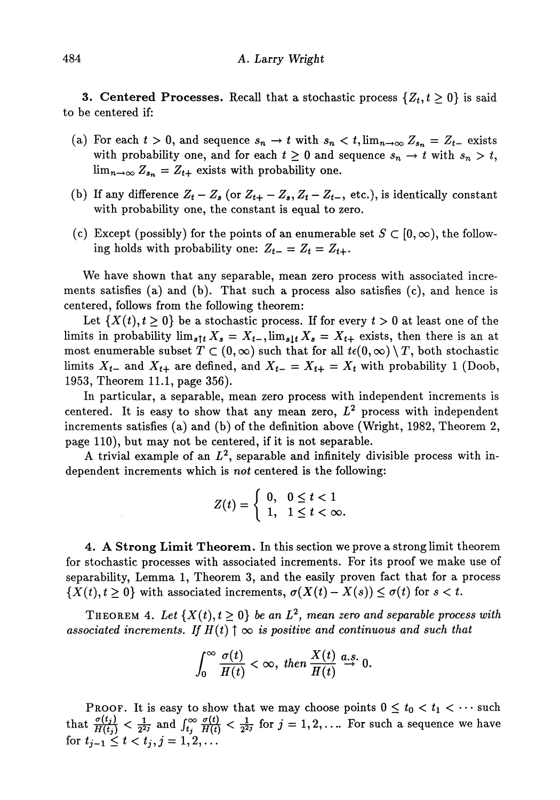**3. Centered Processes.** Recall that a stochastic process  $\{Z_t, t \geq 0\}$  is said to be centered if:

- (a) For each  $t > 0$ , and sequence  $s_n \to t$  with  $s_n < t$ ,  $\lim_{n \to \infty} Z_{s_n} = Z_{t-}$  exists with probability one, and for each  $t \geq 0$  and sequence  $s_n \to t$  with  $s_n > t$ ,  $\lim_{n\to\infty} Z_{s_n} = Z_{t+}$  exists with probability one.
- (b) If any difference  $Z_t Z_s$  (or  $Z_{t+} Z_s$ ,  $Z_t Z_{t-}$ , etc.), is identically constant with probability one, the constant is equal to zero.
- (c) Except (possibly) for the points of an enumerable set  $S \subset [0,\infty)$ , the following holds with probability one:  $Z_{t-} = Z_t = Z_{t+}$ .

We have shown that any separable, mean zero process with associated incre ments satisfies (a) and (b). That such a process also satisfies (c), and hence is centered, follows from the following theorem:

Let  $\{X(t), t \geq 0\}$  be a stochastic process. If for every  $t > 0$  at least one of the limits in probability  $\lim_{s \uparrow t} X_s = X_{t-}$ ,  $\lim_{s \downarrow t} X_s = X_{t+}$  exists, then there is an at most enumerable subset  $T \subset (0,\infty)$  such that for all  $t\epsilon(0,\infty) \setminus T$ , both stochastic limits  $X_{t-}$  and  $X_{t+}$  are defined, and  $X_{t-} = X_{t+} = X_t$  with probability 1 (Doob, 1953, Theorem 11.1, page 356).

In particular, a separable, mean zero process with independent increments is centered. It is easy to show that any mean zero,  $L^2$  process with independent increments satisfies (a) and (b) of the definition above (Wright, 1982, Theorem 2, page 110), but may not be centered, if it is not separable.

A trivial example of an  $L^2$ , separable and infinitely divisible process with in dependent increments which is *not* centered is the following:

$$
Z(t) = \begin{cases} 0, & 0 \leq t < 1 \\ 1, & 1 \leq t < \infty. \end{cases}
$$

**4. A Strong Limit Theorem.** In this section we prove a strong limit theorem for stochastic processes with associated increments. For its proof we make use of separability, Lemma 1, Theorem 3, and the easily proven fact that for a process  ${X(t), t \ge 0}$  with associated increments,  $\sigma(X(t) - X(s)) \le \sigma(t)$  for  $s < t$ .

THEOREM 4. Let  $\{X(t), t \ge 0\}$  be an  $L^2$ , mean zero and separable process with associated increments. If  $H(t) \uparrow \infty$  is positive and continuous and such that

$$
\int_0^\infty \frac{\sigma(t)}{H(t)} < \infty, \text{ then } \frac{X(t)}{H(t)} \stackrel{a.s.}{\rightarrow} 0.
$$

PROOF. It is easy to show that we may choose points  $0 \le t_0 < t_1 < \cdots$  such that  $\frac{\sigma(t_j)}{H(t_j)} < \frac{1}{2^{2j}}$  and  $\int_{t_j}^{\infty} \frac{\sigma(t)}{H(t)} < \frac{1}{2^{2j}}$  for  $j = 1, 2, ...$  For such a sequence we have for  $t_{j-1} \leq t < t_j, j = 1, 2, ...$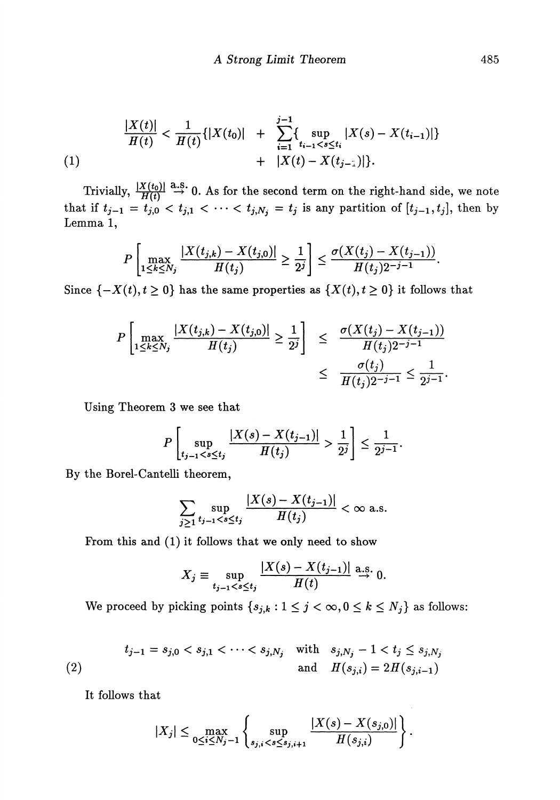$$
\frac{|X(t)|}{H(t)} < \frac{1}{H(t)}\{|X(t_0)| + \sum_{i=1}^{j-1} \{\sup_{t_{i-1} < s \le t_i} |X(s) - X(t_{i-1})|\} + |X(t) - X(t_{j-1})|\}.
$$
\n(1)

Trivially,  $\frac{X(G)}{H(f)} \stackrel{\alpha_{\alpha,\beta}}{\rightarrow} 0$ . As for the second term on the right-hand side, we note that if  $t_{j-1} = t_{j,0} < t_{j,1} < \cdots < t_{j,N_j} = t_j$  is any partition of  $[t_{j-1}, t_j]$ , then by Lemma 1,

$$
P\left[\max_{1\leq k\leq N_j}\frac{|X(t_{j,k})-X(t_{j,0})|}{H(t_j)}\geq \frac{1}{2^j}\right]\leq \frac{\sigma(X(t_j)-X(t_{j-1}))}{H(t_j)2^{-j-1}}.
$$

Since  $\{-X(t), t \ge 0\}$  has the same properties as  $\{X(t), t \ge 0\}$  it follows that

$$
P\left[\max_{1\leq k\leq N_j} \frac{|X(t_{j,k}) - X(t_{j,0})|}{H(t_j)} \geq \frac{1}{2^j}\right] \leq \frac{\sigma(X(t_j) - X(t_{j-1}))}{H(t_j)2^{-j-1}} \leq \frac{\sigma(t_j)}{H(t_j)2^{-j-1}} \leq \frac{1}{2^{j-1}}.
$$

Using Theorem 3 we see that

$$
P\left[\sup_{t_{j-1}\frac{1}{2^j}\right]\leq \frac{1}{2^{j-1}}.
$$

By the Borel-Cantelli theorem,

$$
\sum_{j\geq 1} \sup_{t_{j-1} < s \leq t_j} \frac{|X(s) - X(t_{j-1})|}{H(t_j)} < \infty \text{ a.s.}
$$

From this and (1) it follows that we only need to show

$$
X_j \equiv \sup_{t_{j-1} < s \le t_j} \frac{|X(s) - X(t_{j-1})|}{H(t)} \stackrel{\text{a.s.}}{\to} 0.
$$

We proceed by picking points  $\{s_{j,k}: 1 \leq j < \infty, 0 \leq k \leq N_j\}$  as follows:

(2) 
$$
t_{j-1} = s_{j,0} < s_{j,1} < \cdots < s_{j,N_j} \quad \text{with} \quad s_{j,N_j} - 1 < t_j \le s_{j,N_j}
$$
\n
$$
H(s_{j,i}) = 2H(s_{j,i-1})
$$

It follows that

$$
|X_j| \leq \max_{0 \leq i \leq N_j-1} \left\{ \sup_{s_{j,i} < s \leq s_{j,i+1}} \frac{|X(s) - X(s_{j,0})|}{H(s_{j,i})} \right\}.
$$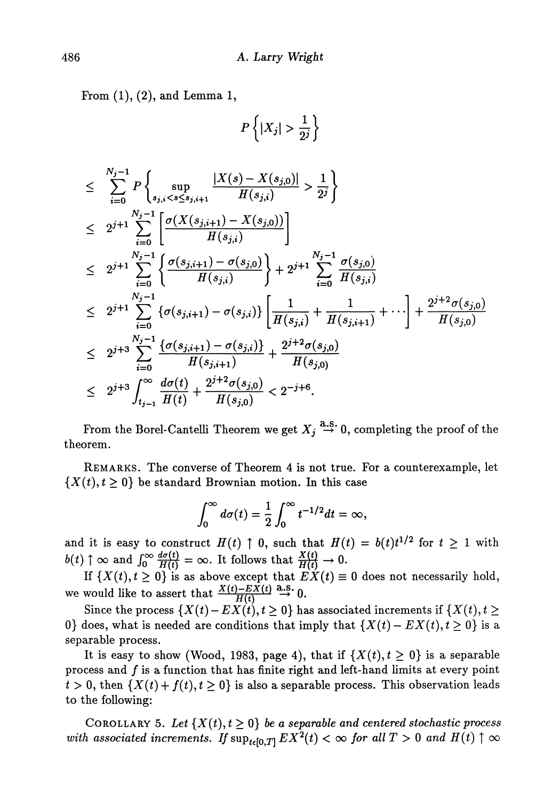From  $(1)$ ,  $(2)$ , and Lemma 1,

$$
P\left\{|X_j| > \frac{1}{2^j}\right\}
$$

$$
\leq \sum_{i=0}^{N_j-1} P\left\{\sup_{s_{j,i} \frac{1}{2^j}\right\} \n\leq 2^{j+1} \sum_{i=0}^{N_j-1} \left[\frac{\sigma(X(s_{j,i+1})-X(s_{j,0}))}{H(s_{j,i})}\right] \n\leq 2^{j+1} \sum_{i=0}^{N_j-1} \left\{\frac{\sigma(s_{j,i+1})-\sigma(s_{j,0})}{H(s_{j,i})}\right\} + 2^{j+1} \sum_{i=0}^{N_j-1} \frac{\sigma(s_{j,0})}{H(s_{j,i})} \n\leq 2^{j+1} \sum_{i=0}^{N_j-1} \left\{\sigma(s_{j,i+1})-\sigma(s_{j,i})\right\} \left[\frac{1}{H(s_{j,i})} + \frac{1}{H(s_{j,i+1})} + \cdots\right] + \frac{2^{j+2}\sigma(s_{j,0})}{H(s_{j,0})} \n\leq 2^{j+3} \sum_{i=0}^{N_j-1} \frac{\left\{\sigma(s_{j,i+1})-\sigma(s_{j,i})\right\}}{H(s_{j,i+1})} + \frac{2^{j+2}\sigma(s_{j,0})}{H(s_{j,0})} \n\leq 2^{j+3} \int_{t_{j-1}}^{\infty} \frac{d\sigma(t)}{H(t)} + \frac{2^{j+2}\sigma(s_{j,0})}{H(s_{j,0})} < 2^{-j+6}.
$$

From the Borel-Cantelli Theorem we get  $X_j \stackrel{\text{a.s.}}{\rightarrow} 0$ , completing the proof of the theorem.

REMARKS. The converse of Theorem 4 is not true. For a counterexample, let  $\{X(t), t \geq 0\}$  be standard Brownian motion. In this case

$$
\int_0^\infty d\sigma(t) = \frac{1}{2} \int_0^\infty t^{-1/2} dt = \infty,
$$

and it is easy to construct  $H(t) \uparrow 0$ , such that  $H(t) = b(t)t^{1/2}$  for  $t \geq 1$  with  $b(t) \uparrow \infty$  and  $\int_0^\infty \frac{d\sigma(t)}{H(t)} = \infty$ . It follows that  $\frac{X(t)}{H(t)} \to 0$ .

If  $\{X(t), t \geq 0\}$  is as above except that  $E[X(t) \equiv 0]$  does not necessarily hold, we would like to assert that  $\frac{X(t)-EX(t)}{H(t)} \stackrel{\text{a.s.}}{\rightarrow} 0$ .

Since the process  $\{X(t) - EX(t), t \ge 0\}$  has associated increments if  $\{X(t), t \ge 0\}$ 0} does, what is needed are conditions that imply that  $\{X(t) - EX(t), t \ge 0\}$  is a separable process.

It is easy to show (Wood, 1983, page 4), that if  $\{X(t), t \geq 0\}$  is a separable process and  $f$  is a function that has finite right and left-hand limits at every point  $t > 0$ , then  $\{X(t) + f(t), t \ge 0\}$  is also a separable process. This observation leads to the following:

COROLLARY 5. Let  $\{X(t), t \geq 0\}$  be a separable and centered stochastic process  $with\ associated\ increments.\ If \sup_{t\in [0,T]} EX^2(t)<\infty\ for\ all\ T>0\ and\ H(t)\uparrow\infty$